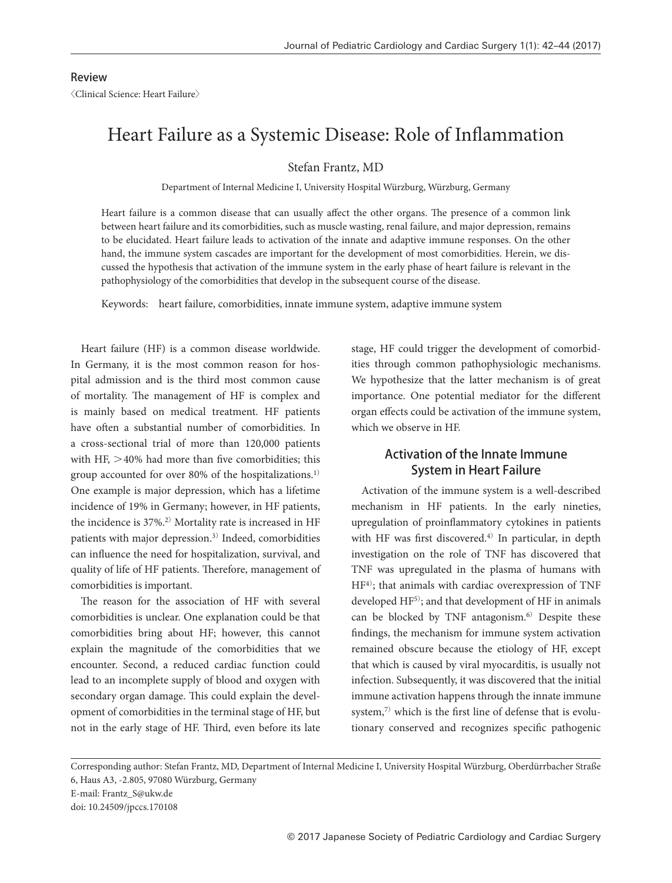#### Review 〈Clinical Science: Heart Failure〉

# Heart Failure as a Systemic Disease: Role of Inflammation

Stefan Frantz, MD

Department of Internal Medicine I, University Hospital Würzburg, Würzburg, Germany

Heart failure is a common disease that can usually affect the other organs. The presence of a common link between heart failure and its comorbidities, such as muscle wasting, renal failure, and major depression, remains to be elucidated. Heart failure leads to activation of the innate and adaptive immune responses. On the other hand, the immune system cascades are important for the development of most comorbidities. Herein, we discussed the hypothesis that activation of the immune system in the early phase of heart failure is relevant in the pathophysiology of the comorbidities that develop in the subsequent course of the disease.

Keywords: heart failure, comorbidities, innate immune system, adaptive immune system

Heart failure (HF) is a common disease worldwide. In Germany, it is the most common reason for hospital admission and is the third most common cause of mortality. The management of HF is complex and is mainly based on medical treatment. HF patients have often a substantial number of comorbidities. In a cross-sectional trial of more than 120,000 patients with HF,  $>40\%$  had more than five comorbidities; this group accounted for over 80% of the hospitalizations.1) One example is major depression, which has a lifetime incidence of 19% in Germany; however, in HF patients, the incidence is 37%.2) Mortality rate is increased in HF patients with major depression.3) Indeed, comorbidities can influence the need for hospitalization, survival, and quality of life of HF patients. Therefore, management of comorbidities is important.

The reason for the association of HF with several comorbidities is unclear. One explanation could be that comorbidities bring about HF; however, this cannot explain the magnitude of the comorbidities that we encounter. Second, a reduced cardiac function could lead to an incomplete supply of blood and oxygen with secondary organ damage. This could explain the development of comorbidities in the terminal stage of HF, but not in the early stage of HF. Third, even before its late stage, HF could trigger the development of comorbidities through common pathophysiologic mechanisms. We hypothesize that the latter mechanism is of great importance. One potential mediator for the different organ effects could be activation of the immune system, which we observe in HF.

# Activation of the Innate Immune System in Heart Failure

Activation of the immune system is a well-described mechanism in HF patients. In the early nineties, upregulation of proinflammatory cytokines in patients with HF was first discovered.<sup>4)</sup> In particular, in depth investigation on the role of TNF has discovered that TNF was upregulated in the plasma of humans with HF4); that animals with cardiac overexpression of TNF developed HF5); and that development of HF in animals can be blocked by TNF antagonism.<sup>6)</sup> Despite these findings, the mechanism for immune system activation remained obscure because the etiology of HF, except that which is caused by viral myocarditis, is usually not infection. Subsequently, it was discovered that the initial immune activation happens through the innate immune system, $7$ ) which is the first line of defense that is evolutionary conserved and recognizes specific pathogenic

Corresponding author: Stefan Frantz, MD, Department of Internal Medicine I, University Hospital Würzburg, Oberdürrbacher Straße 6, Haus A3, -2.805, 97080 Würzburg, Germany

E-mail: Frantz\_S@ukw.de

doi: 10.24509/jpccs.170108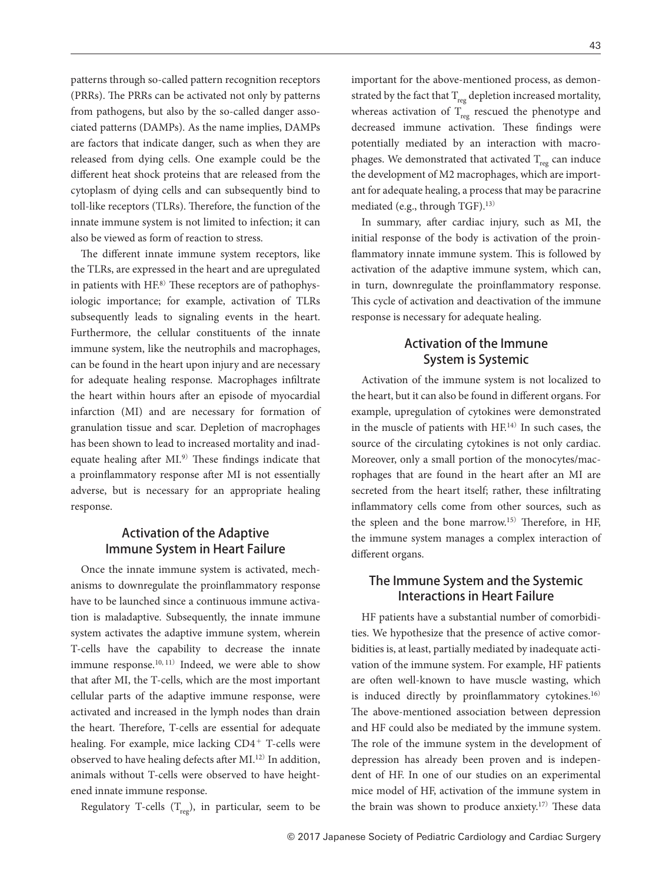patterns through so-called pattern recognition receptors (PRRs). The PRRs can be activated not only by patterns from pathogens, but also by the so-called danger associated patterns (DAMPs). As the name implies, DAMPs are factors that indicate danger, such as when they are released from dying cells. One example could be the different heat shock proteins that are released from the cytoplasm of dying cells and can subsequently bind to toll-like receptors (TLRs). Therefore, the function of the innate immune system is not limited to infection; it can also be viewed as form of reaction to stress.

The different innate immune system receptors, like the TLRs, are expressed in the heart and are upregulated in patients with  $HF^{8}$ ) These receptors are of pathophysiologic importance; for example, activation of TLRs subsequently leads to signaling events in the heart. Furthermore, the cellular constituents of the innate immune system, like the neutrophils and macrophages, can be found in the heart upon injury and are necessary for adequate healing response. Macrophages infiltrate the heart within hours after an episode of myocardial infarction (MI) and are necessary for formation of granulation tissue and scar. Depletion of macrophages has been shown to lead to increased mortality and inadequate healing after MI.<sup>9)</sup> These findings indicate that a proinflammatory response after MI is not essentially adverse, but is necessary for an appropriate healing response.

# Activation of the Adaptive Immune System in Heart Failure

Once the innate immune system is activated, mechanisms to downregulate the proinflammatory response have to be launched since a continuous immune activation is maladaptive. Subsequently, the innate immune system activates the adaptive immune system, wherein T-cells have the capability to decrease the innate immune response.<sup>10, 11)</sup> Indeed, we were able to show that after MI, the T-cells, which are the most important cellular parts of the adaptive immune response, were activated and increased in the lymph nodes than drain the heart. Therefore, T-cells are essential for adequate healing. For example, mice lacking CD4<sup>+</sup> T-cells were observed to have healing defects after MI.12) In addition, animals without T-cells were observed to have heightened innate immune response.

Regulatory T-cells  $(T_{\text{reg}})$ , in particular, seem to be

important for the above-mentioned process, as demonstrated by the fact that  $T_{\text{res}}$  depletion increased mortality, whereas activation of  $T_{reg}$  rescued the phenotype and decreased immune activation. These findings were potentially mediated by an interaction with macrophages. We demonstrated that activated  $T_{reg}$  can induce

the development of M2 macrophages, which are important for adequate healing, a process that may be paracrine mediated (e.g., through TGF).13)

In summary, after cardiac injury, such as MI, the initial response of the body is activation of the proinflammatory innate immune system. This is followed by activation of the adaptive immune system, which can, in turn, downregulate the proinflammatory response. This cycle of activation and deactivation of the immune response is necessary for adequate healing.

## Activation of the Immune System is Systemic

Activation of the immune system is not localized to the heart, but it can also be found in different organs. For example, upregulation of cytokines were demonstrated in the muscle of patients with HF.14) In such cases, the source of the circulating cytokines is not only cardiac. Moreover, only a small portion of the monocytes/macrophages that are found in the heart after an MI are secreted from the heart itself; rather, these infiltrating inflammatory cells come from other sources, such as the spleen and the bone marrow.15) Therefore, in HF, the immune system manages a complex interaction of different organs.

## The Immune System and the Systemic Interactions in Heart Failure

HF patients have a substantial number of comorbidities. We hypothesize that the presence of active comorbidities is, at least, partially mediated by inadequate activation of the immune system. For example, HF patients are often well-known to have muscle wasting, which is induced directly by proinflammatory cytokines.<sup>16)</sup> The above-mentioned association between depression and HF could also be mediated by the immune system. The role of the immune system in the development of depression has already been proven and is independent of HF. In one of our studies on an experimental mice model of HF, activation of the immune system in the brain was shown to produce anxiety.17) These data